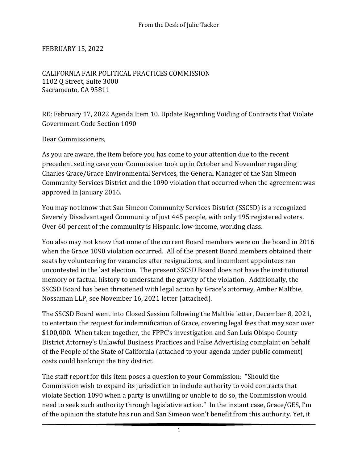## FEBRUARY 15, 2022

CALIFORNIA FAIR POLITICAL PRACTICES COMMISSION 1102 Q Street, Suite 3000 Sacramento, CA 95811

RE: February 17, 2022 Agenda Item 10. Update Regarding Voiding of Contracts that Violate Government Code Section 1090

Dear Commissioners,

As you are aware, the item before you has come to your attention due to the recent precedent setting case your Commission took up in October and November regarding Charles Grace/Grace Environmental Services, the General Manager of the San Simeon Community Services District and the 1090 violation that occurred when the agreement was approved in January 2016.

You may not know that San Simeon Community Services District (SSCSD) is a recognized Severely Disadvantaged Community of just 445 people, with only 195 registered voters. Over 60 percent of the community is Hispanic, low-income, working class.

You also may not know that none of the current Board members were on the board in 2016 when the Grace 1090 violation occurred. All of the present Board members obtained their seats by volunteering for vacancies after resignations, and incumbent appointees ran uncontested in the last election. The present SSCSD Board does not have the institutional memory or factual history to understand the gravity of the violation. Additionally, the SSCSD Board has been threatened with legal action by Grace's attorney, Amber Maltbie, Nossaman LLP, see November 16, 2021 letter (attached).

The SSCSD Board went into Closed Session following the Maltbie letter, December 8, 2021, to entertain the request for indemnification of Grace, covering legal fees that may soar over \$100,000. When taken together, the FPPC's investigation and San Luis Obispo County District Attorney's Unlawful Business Practices and False Advertising complaint on behalf of the People of the State of California (attached to your agenda under public comment) costs could bankrupt the tiny district.

The staff report for this item poses a question to your Commission: "Should the Commission wish to expand its jurisdiction to include authority to void contracts that violate Section 1090 when a party is unwilling or unable to do so, the Commission would need to seek such authority through legislative action." In the instant case, Grace/GES, I'm of the opinion the statute has run and San Simeon won't benefit from this authority. Yet, it

1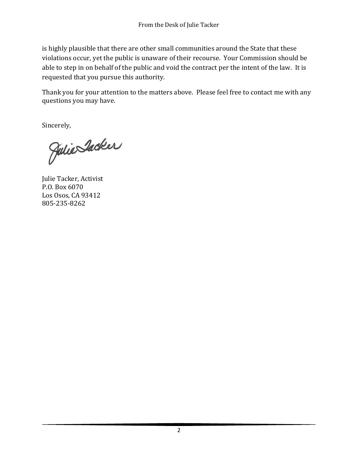is highly plausible that there are other small communities around the State that these violations occur, yet the public is unaware of their recourse. Your Commission should be able to step in on behalf of the public and void the contract per the intent of the law. It is requested that you pursue this authority.

Thank you for your attention to the matters above. Please feel free to contact me with any questions you may have.

Sincerely,

Julie Inder

Julie Tacker, Activist P.O. Box 6070 Los Osos, CA 93412 805-235-8262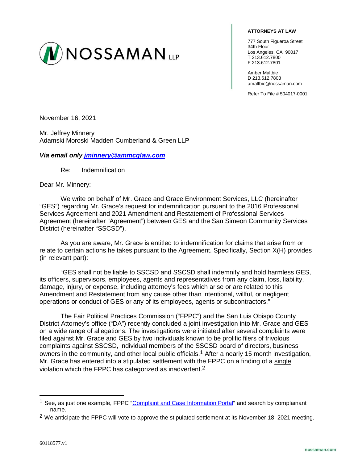

## **ATTORNEYS AT LAW**

777 South Figueroa Street 34th Floor Los Angeles, CA 90017 T 213.612.7800 F 213.612.7801

Amber Maltbie D 213.612.7803 amaltbie@nossaman.com

Refer To File # 504017-0001

November 16, 2021

Mr. Jeffrey Minnery Adamski Moroski Madden Cumberland & Green LLP

## *Via email only [jminnery@ammcglaw.com](mailto:jminnery@ammcglaw.com)*

Re: Indemnification

Dear Mr. Minnery:

We write on behalf of Mr. Grace and Grace Environment Services, LLC (hereinafter "GES") regarding Mr. Grace's request for indemnification pursuant to the 2016 Professional Services Agreement and 2021 Amendment and Restatement of Professional Services Agreement (hereinafter "Agreement") between GES and the San Simeon Community Services District (hereinafter "SSCSD").

As you are aware, Mr. Grace is entitled to indemnification for claims that arise from or relate to certain actions he takes pursuant to the Agreement. Specifically, Section X(H) provides (in relevant part):

"GES shall not be liable to SSCSD and SSCSD shall indemnify and hold harmless GES, its officers, supervisors, employees, agents and representatives from any claim, loss, liability, damage, injury, or expense, including attorney's fees which arise or are related to this Amendment and Restatement from any cause other than intentional, willful, or negligent operations or conduct of GES or any of its employees, agents or subcontractors."

The Fair Political Practices Commission ("FPPC") and the San Luis Obispo County District Attorney's office ("DA") recently concluded a joint investigation into Mr. Grace and GES on a wide range of allegations. The investigations were initiated after several complaints were filed against Mr. Grace and GES by two individuals known to be prolific filers of frivolous complaints against SSCSD, individual members of the SSCSD board of directors, business owners in the community, and other local public officials.<sup>1</sup> After a nearly 15 month investigation, Mr. Grace has entered into a stipulated settlement with the FPPC on a finding of a single violation which the FPPC has categorized as inadvertent.2

 $\overline{a}$ 

<sup>&</sup>lt;sup>1</sup> See, as just one example, FPPC ["Complaint and Case Information Portal"](https://fppc.ca.gov/enforcement/complaint-and-case-information-portal.html) and search by complainant name.

 $2$  We anticipate the FPPC will vote to approve the stipulated settlement at its November 18, 2021 meeting.